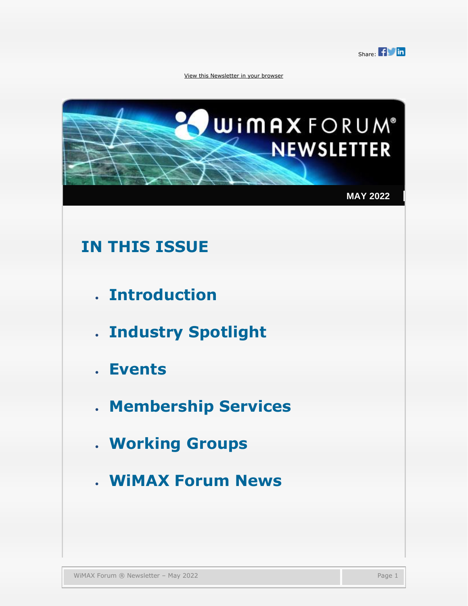

[View this Newsletter in your browser](https://us1.campaign-archive.com/?e=__test_email__&u=7eb241b6976c205834327c5ec&id=64b0a42b44)

<span id="page-0-0"></span>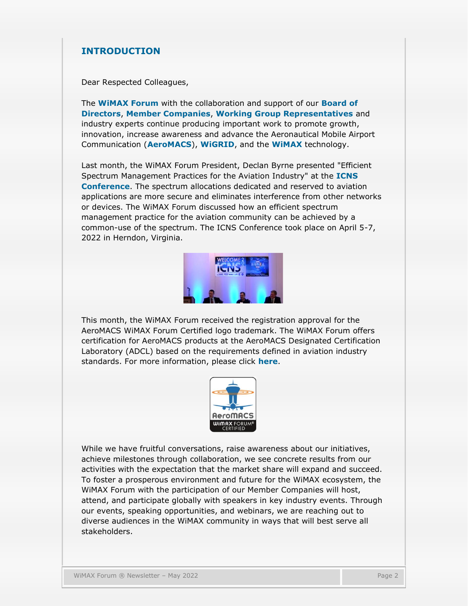# **INTRODUCTION**

Dear Respected Colleagues,

The **[WiMAX Forum](http://wimaxforum.org/)** with the collaboration and support of our **[Board of](http://wimaxforum.org/Page/About/Board-of-Directors)  [Directors](http://wimaxforum.org/Page/About/Board-of-Directors)**, **[Member Companies](http://wimaxforum.org/Company/Directory)**, **[Working Group Representatives](http://wimaxforum.org/Page/About/Working-Groups)** and industry experts continue producing important work to promote growth, innovation, increase awareness and advance the Aeronautical Mobile Airport Communication (**[AeroMACS](http://wimaxforum.org/Page/AeroMACS)**), **[WiGRID](http://wimaxforum.org/Page/WiGRID)**, and the **[WiMAX](http://wimaxforum.org/Page/Initiatives)** technology.

Last month, the WiMAX Forum President, Declan Byrne presented "Efficient Spectrum Management Practices for the Aviation Industry" at the **[ICNS](https://wimaxforum.org/Page/Events/ICNS-2022)  [Conference](https://wimaxforum.org/Page/Events/ICNS-2022)**. The spectrum allocations dedicated and reserved to aviation applications are more secure and eliminates interference from other networks or devices. The WiMAX Forum discussed how an efficient spectrum management practice for the aviation community can be achieved by a common-use of the spectrum. The ICNS Conference took place on April 5-7, 2022 in Herndon, Virginia.



This month, the WiMAX Forum received the registration approval for the AeroMACS WiMAX Forum Certified logo trademark. The WiMAX Forum offers certification for AeroMACS products at the AeroMACS Designated Certification Laboratory (ADCL) based on the requirements defined in aviation industry standards. For more information, please click **[here](https://wimaxforum.org/Page/Certification)**.



While we have fruitful conversations, raise awareness about our initiatives, achieve milestones through collaboration, we see concrete results from our activities with the expectation that the market share will expand and succeed. To foster a prosperous environment and future for the WiMAX ecosystem, the WiMAX Forum with the participation of our Member Companies will host, attend, and participate globally with speakers in key industry events. Through our events, speaking opportunities, and webinars, we are reaching out to diverse audiences in the WiMAX community in ways that will best serve all stakeholders.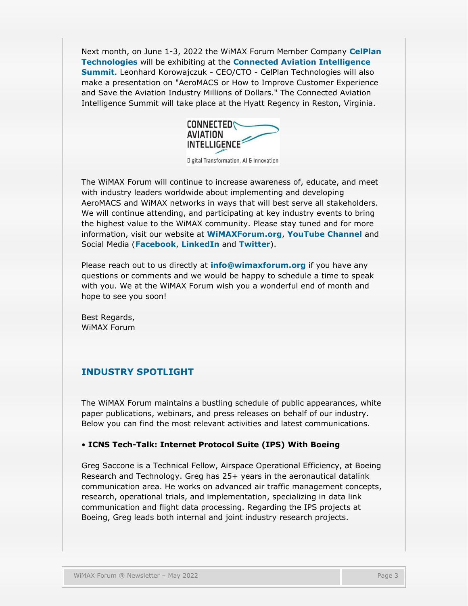Next month, on June 1-3, 2022 the WiMAX Forum Member Company **[CelPlan](https://wimaxforum.org/Company/Info/412-CELPLAN-TECHNOLOGIES)  [Technologies](https://wimaxforum.org/Company/Info/412-CELPLAN-TECHNOLOGIES)** will be exhibiting at the **[Connected Aviation Intelligence](https://wimaxforum.org/Page/Events/Connected-Aviation-Intelligence-2022)  [Summit](https://wimaxforum.org/Page/Events/Connected-Aviation-Intelligence-2022)**. Leonhard Korowajczuk - CEO/CTO - CelPlan Technologies will also make a presentation on "AeroMACS or How to Improve Customer Experience and Save the Aviation Industry Millions of Dollars." The Connected Aviation Intelligence Summit will take place at the Hyatt Regency in Reston, Virginia.



Digital Transformation, AI & Innovation

The WiMAX Forum will continue to increase awareness of, educate, and meet with industry leaders worldwide about implementing and developing AeroMACS and WiMAX networks in ways that will best serve all stakeholders. We will continue attending, and participating at key industry events to bring the highest value to the WiMAX community. Please stay tuned and for more information, visit our website at **[WiMAXForum.org](http://wimaxforum.org/)**, **[YouTube Channel](https://www.youtube.com/channel/UCwkxFaRSO4rqHKiwAtI3wWA)** and Social Media (**[Facebook](https://www.facebook.com/WiMAXForum)**, **[LinkedIn](https://www.linkedin.com/company/wimax-forum/)** and **[Twitter](https://twitter.com/wimax_forum)**).

Please reach out to us directly at **[info@wimaxforum.org](mailto:info@wimaxforum.org)** if you have any questions or comments and we would be happy to schedule a time to speak with you. We at the WiMAX Forum wish you a wonderful end of month and hope to see you soon!

Best Regards, WiMAX Forum

# <span id="page-2-0"></span>**INDUSTRY SPOTLIGHT**

The WiMAX Forum maintains a bustling schedule of public appearances, white paper publications, webinars, and press releases on behalf of our industry. Below you can find the most relevant activities and latest communications.

#### • **ICNS Tech-Talk: Internet Protocol Suite (IPS) With Boeing**

Greg Saccone is a Technical Fellow, Airspace Operational Efficiency, at Boeing Research and Technology. Greg has 25+ years in the aeronautical datalink communication area. He works on advanced air traffic management concepts, research, operational trials, and implementation, specializing in data link communication and flight data processing. Regarding the IPS projects at Boeing, Greg leads both internal and joint industry research projects.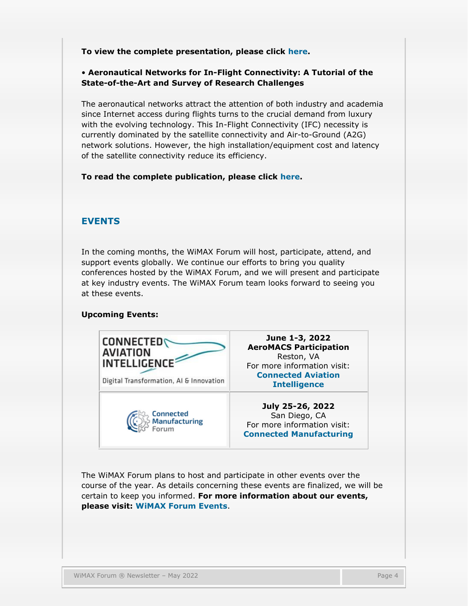#### **To view the complete presentation, please click [here.](https://www.youtube.com/watch?v=IYsULj6ce7Q)**

### • **Aeronautical Networks for In-Flight Connectivity: A Tutorial of the State-of-the-Art and Survey of Research Challenges**

The aeronautical networks attract the attention of both industry and academia since Internet access during flights turns to the crucial demand from luxury with the evolving technology. This In-Flight Connectivity (IFC) necessity is currently dominated by the satellite connectivity and Air-to-Ground (A2G) network solutions. However, the high installation/equipment cost and latency of the satellite connectivity reduce its efficiency.

**To read the complete publication, please click [here.](https://pureadmin.qub.ac.uk/ws/portalfiles/portal/288660684/Aeronautical_Networks_for_In_Flight_Connectivity_A_Tutorial_of_the_State_of_the_Art_and_Survey_of_Research_Challenges.pdf)**

## <span id="page-3-0"></span>**EVENTS**

In the coming months, the WiMAX Forum will host, participate, attend, and support events globally. We continue our efforts to bring you quality conferences hosted by the WiMAX Forum, and we will present and participate at key industry events. The WiMAX Forum team looks forward to seeing you at these events.

#### **Upcoming Events:**



**Connected Manufacturing** 

Forum

**June 1-3, 2022 AeroMACS Participation** Reston, VA For more information visit: **[Connected Aviation](https://wimaxforum.org/Page/Events/Connected-Aviation-Intelligence-2022)  [Intelligence](https://wimaxforum.org/Page/Events/Connected-Aviation-Intelligence-2022)**

**July 25-26, 2022** San Diego, CA For more information visit: **[Connected Manufacturing](https://wimaxforum.org/Page/Events/Connected-Manufacturing-2022)**

The WiMAX Forum plans to host and participate in other events over the course of the year. As details concerning these events are finalized, we will be certain to keep you informed. **For more information about our events, please visit: [WiMAX Forum Events](http://www.wimaxforum.org/Page/Events)**.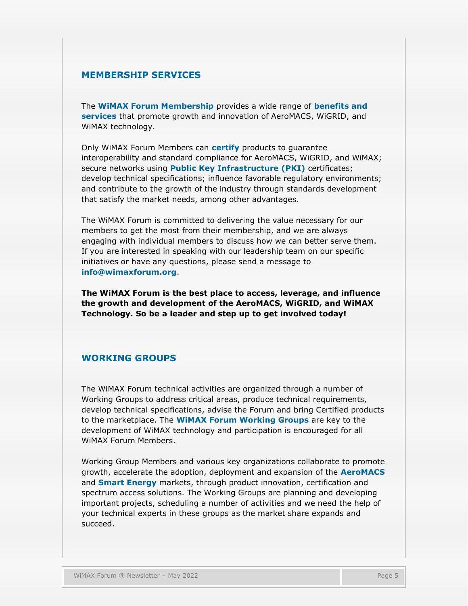## <span id="page-4-0"></span>**MEMBERSHIP SERVICES**

The **[WiMAX Forum Membership](http://wimaxforum.org/Page/Membership/how-to-join)** provides a wide range of **[benefits and](http://wimaxforum.org/Page/Membership/Membership-Benefits)  [services](http://wimaxforum.org/Page/Membership/Membership-Benefits)** that promote growth and innovation of AeroMACS, WiGRID, and WiMAX technology.

Only WiMAX Forum Members can **[certify](http://wimaxforum.org/Page/Certification)** products to guarantee interoperability and standard compliance for AeroMACS, WiGRID, and WiMAX; secure networks using **[Public Key Infrastructure \(PKI\)](http://wimaxforum.org/Page/Security)** certificates; develop technical specifications; influence favorable regulatory environments; and contribute to the growth of the industry through standards development that satisfy the market needs, among other advantages.

The WiMAX Forum is committed to delivering the value necessary for our members to get the most from their membership, and we are always engaging with individual members to discuss how we can better serve them. If you are interested in speaking with our leadership team on our specific initiatives or have any questions, please send a message to **[info@wimaxforum.org](mailto:info@wimaxforum.org)**.

**The WiMAX Forum is the best place to access, leverage, and influence the growth and development of the AeroMACS, WiGRID, and WiMAX Technology. So be a leader and step up to get involved today!**

### <span id="page-4-1"></span>**WORKING GROUPS**

The WiMAX Forum technical activities are organized through a number of Working Groups to address critical areas, produce technical requirements, develop technical specifications, advise the Forum and bring Certified products to the marketplace. The **[WiMAX Forum Working Groups](http://www.wimaxforum.org/Page/About/Working-Groups)** are key to the development of WiMAX technology and participation is encouraged for all WiMAX Forum Members.

Working Group Members and various key organizations collaborate to promote growth, accelerate the adoption, deployment and expansion of the **[AeroMACS](http://www.wimaxforum.org/Page/AeroMACS)** and **[Smart Energy](http://www.wimaxforum.org/Page/Initiatives/WiGRID)** markets, through product innovation, certification and spectrum access solutions. The Working Groups are planning and developing important projects, scheduling a number of activities and we need the help of your technical experts in these groups as the market share expands and succeed.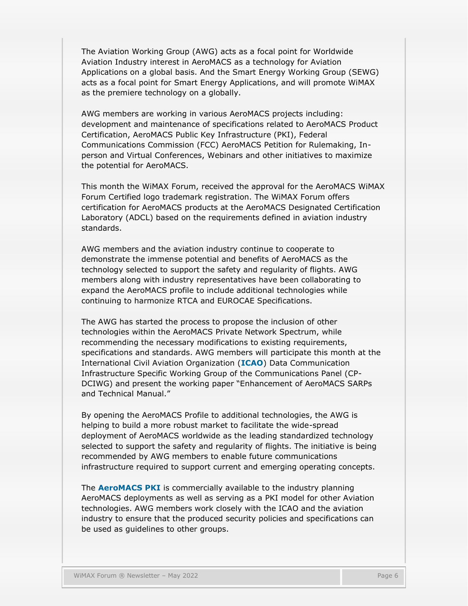The Aviation Working Group (AWG) acts as a focal point for Worldwide Aviation Industry interest in AeroMACS as a technology for Aviation Applications on a global basis. And the Smart Energy Working Group (SEWG) acts as a focal point for Smart Energy Applications, and will promote WiMAX as the premiere technology on a globally.

AWG members are working in various AeroMACS projects including: development and maintenance of specifications related to AeroMACS Product Certification, AeroMACS Public Key Infrastructure (PKI), Federal Communications Commission (FCC) AeroMACS Petition for Rulemaking, Inperson and Virtual Conferences, Webinars and other initiatives to maximize the potential for AeroMACS.

This month the WiMAX Forum, received the approval for the AeroMACS WiMAX Forum Certified logo trademark registration. The WiMAX Forum offers certification for AeroMACS products at the AeroMACS Designated Certification Laboratory (ADCL) based on the requirements defined in aviation industry standards.

AWG members and the aviation industry continue to cooperate to demonstrate the immense potential and benefits of AeroMACS as the technology selected to support the safety and regularity of flights. AWG members along with industry representatives have been collaborating to expand the AeroMACS profile to include additional technologies while continuing to harmonize RTCA and EUROCAE Specifications.

The AWG has started the process to propose the inclusion of other technologies within the AeroMACS Private Network Spectrum, while recommending the necessary modifications to existing requirements, specifications and standards. AWG members will participate this month at the International Civil Aviation Organization (**[ICAO](https://www.icao.int/Pages/default.aspx)**) Data Communication Infrastructure Specific Working Group of the Communications Panel (CP-DCIWG) and present the working paper "Enhancement of AeroMACS SARPs and Technical Manual."

By opening the AeroMACS Profile to additional technologies, the AWG is helping to build a more robust market to facilitate the wide-spread deployment of AeroMACS worldwide as the leading standardized technology selected to support the safety and regularity of flights. The initiative is being recommended by AWG members to enable future communications infrastructure required to support current and emerging operating concepts.

The **[AeroMACS PKI](https://wimaxforum.org/Page/Security)** is commercially available to the industry planning AeroMACS deployments as well as serving as a PKI model for other Aviation technologies. AWG members work closely with the ICAO and the aviation industry to ensure that the produced security policies and specifications can be used as guidelines to other groups.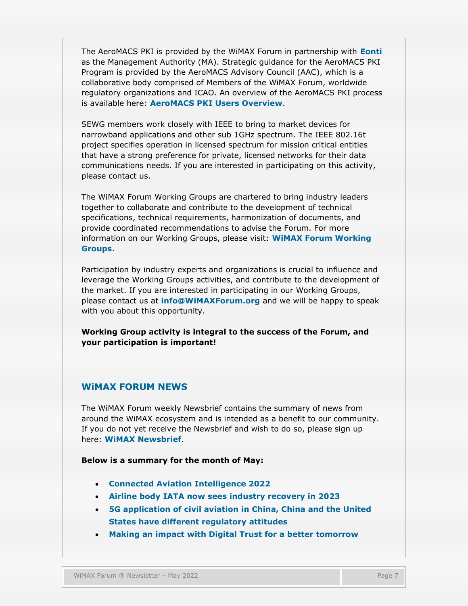The AeroMACS PKI is provided by the WiMAX Forum in partnership with **[Eonti](http://wimaxforum.org/Company/Info/1197-EONTI)** as the Management Authority (MA). Strategic guidance for the AeroMACS PKI Program is provided by the AeroMACS Advisory Council (AAC), which is a collaborative body comprised of Members of the WiMAX Forum, worldwide regulatory organizations and ICAO. An overview of the AeroMACS PKI process is available here: **[AeroMACS PKI Users Overview](http://files.wimaxforum.org/Document/Download/WMF_AeroMACS_PKI_Users_Overview_V.06_02-27-19)**.

SEWG members work closely with IEEE to bring to market devices for narrowband applications and other sub 1GHz spectrum. The IEEE 802.16t project specifies operation in licensed spectrum for mission critical entities that have a strong preference for private, licensed networks for their data communications needs. If you are interested in participating on this activity, please contact us.

The WiMAX Forum Working Groups are chartered to bring industry leaders together to collaborate and contribute to the development of technical specifications, technical requirements, harmonization of documents, and provide coordinated recommendations to advise the Forum. For more information on our Working Groups, please visit: **[WiMAX Forum Working](http://www.wimaxforum.org/Page/About/Working-Groups)  [Groups](http://www.wimaxforum.org/Page/About/Working-Groups)**.

Participation by industry experts and organizations is crucial to influence and leverage the Working Groups activities, and contribute to the development of the market. If you are interested in participating in our Working Groups, please contact us at **[info@WiMAXForum.org](mailto:info@WiMAXForum.org)** and we will be happy to speak with you about this opportunity.

**Working Group activity is integral to the success of the Forum, and your participation is important!**

### <span id="page-6-0"></span>**WiMAX FORUM NEWS**

The WiMAX Forum weekly Newsbrief contains the summary of news from around the WiMAX ecosystem and is intended as a benefit to our community. If you do not yet receive the Newsbrief and wish to do so, please sign up here: **[WiMAX Newsbrief](http://visitor.r20.constantcontact.com/manage/optin?v=001pfPluQc8rlw1DlfjGS27Lt7zCnqPIzDihirUg22az7f_PYv2ddszHzenf5zYlCQADjpvUurEB82A3iFhF_oSs1FxTOQjOegbFIkWZ1_f7Y8PaDpKRjL1IsXfE9L4IjHMjClml8c02Ns9VA3pNdJjxc-Ud49NZ-6MNExRJn5hAIU%3D)**.

#### **Below is a summary for the month of May:**

- **[Connected Aviation Intelligence 2022](https://wimaxforum.org/Page/Events/Connected-Aviation-Intelligence-2022)**
- **[Airline body IATA now sees industry recovery in 2023](https://www.reuters.com/business/aerospace-defense/iata-boss-says-high-fuel-prices-not-likely-impact-travel-demand-now-2022-05-09/)**
- **[5G application of civil aviation in China, China and the United](https://xw-qq-com.translate.goog/cmsid/20220212A00LM100?_x_tr_sl=auto&_x_tr_tl=en&_x_tr_hl=en)  [States have different regulatory attitudes](https://xw-qq-com.translate.goog/cmsid/20220212A00LM100?_x_tr_sl=auto&_x_tr_tl=en&_x_tr_hl=en)**
- **[Making an impact with Digital Trust for a better tomorrow](https://www.cxotoday.com/interviews/making-an-impact-with-digital-trust-for-a-better-tomorrow/)**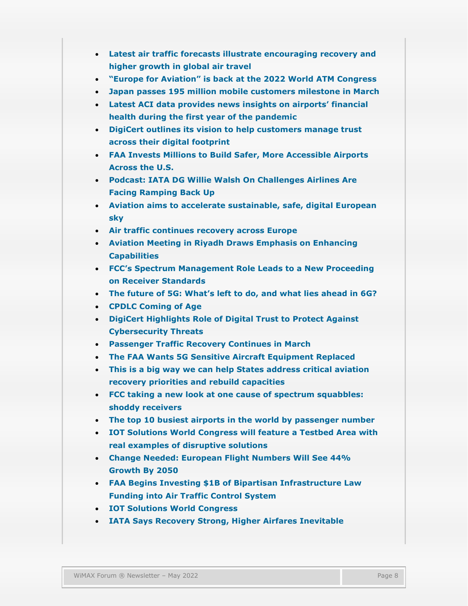- **[Latest air traffic forecasts illustrate encouraging recovery and](https://www.icao.int/Newsroom/Pages/Latest-air-traffic-forecasts-illustrate-encouraging-recovery-and-higher-growth-in-global-air-travel.aspx)  [higher growth in global air travel](https://www.icao.int/Newsroom/Pages/Latest-air-traffic-forecasts-illustrate-encouraging-recovery-and-higher-growth-in-global-air-travel.aspx)**
- **["Europe for Aviation" is back at the 2022 World ATM Congress](https://www.eurocontrol.int/news/europe-aviation-back-2022-world-atm-congress)**
- **[Japan passes 195 million mobile customers milestone in March](https://www.telecompaper.com/news/japan-passes-195-million-mobile-customers-milestone-in-march--1425063)**
- **[Latest ACI data provides news insights on airports' financial](https://aci.aero/2022/05/18/latest-aci-data-provides-news-insights-on-airports-financial-health-during-the-first-year-of-the-pandemic/)  [health during the first year of the pandemic](https://aci.aero/2022/05/18/latest-aci-data-provides-news-insights-on-airports-financial-health-during-the-first-year-of-the-pandemic/)**
- **[DigiCert outlines its vision to help customers manage trust](https://www.helpnetsecurity.com/2022/04/29/digicert-security-summit/)  [across their digital footprint](https://www.helpnetsecurity.com/2022/04/29/digicert-security-summit/)**
- **[FAA Invests Millions to Build Safer, More Accessible Airports](https://www.faa.gov/newsroom/faa-invests-millions-build-safer-more-accessible-airports-across-us)  [Across the U.S.](https://www.faa.gov/newsroom/faa-invests-millions-build-safer-more-accessible-airports-across-us)**
- **[Podcast: IATA DG Willie Walsh On Challenges Airlines Are](https://aviationweek.com/air-transport/podcast-iata-dg-willie-walsh-challenges-airlines-are-facing-ramping-back)  [Facing Ramping Back Up](https://aviationweek.com/air-transport/podcast-iata-dg-willie-walsh-challenges-airlines-are-facing-ramping-back)**
- **[Aviation aims to accelerate sustainable, safe, digital European](https://www.internationalairportreview.com/news/176689/aviation-aims-to-accelerate-sustainable-safe-digital-european-sky/)  [sky](https://www.internationalairportreview.com/news/176689/aviation-aims-to-accelerate-sustainable-safe-digital-european-sky/)**
- **[Air traffic continues recovery across Europe](https://www.passengerterminaltoday.com/news/operations-news/air-traffic-continues-recovery-across-europe.html)**
- **[Aviation Meeting in Riyadh Draws Emphasis on Enhancing](https://english.aawsat.com/home/article/3639281/aviation-meeting-riyadh-draws-emphasis-enhancing-capabilities)  [Capabilities](https://english.aawsat.com/home/article/3639281/aviation-meeting-riyadh-draws-emphasis-enhancing-capabilities)**
- **[FCC's Spectrum Management Role Leads](https://www.jdsupra.com/legalnews/fcc-s-spectrum-management-role-leads-to-1026723/) to a New Proceeding [on Receiver Standards](https://www.jdsupra.com/legalnews/fcc-s-spectrum-management-role-leads-to-1026723/)**
- **[The future of 5G: What's left to do, and what lies ahead in 6G?](https://www.rcrwireless.com/20220505/test-and-measurement/the-future-of-5g-whats-left-to-do-and-what-lies-ahead-in-6g)**
- **[CPDLC Coming of Age](https://www.aerospacetechreview.com/cpdlc-coming-of-age/)**
- **[DigiCert Highlights Role of Digital Trust to Protect Against](https://www.digicert.com/about/news/digicert-highlights-role-of-digital-trust-to-protect-against-cybersecurity-threats)  [Cybersecurity Threats](https://www.digicert.com/about/news/digicert-highlights-role-of-digital-trust-to-protect-against-cybersecurity-threats)**
- **[Passenger Traffic Recovery Continues in March](https://www.iata.org/en/pressroom/2022-releases/2022-05-04-01/)**
- **[The FAA Wants 5G Sensitive Aircraft Equipment Replaced](https://simpleflying.com/faa-5g-sensitive-equipment-replacement/)**
- **[This is a big way we can help States address critical aviation](https://unitingaviation.com/news/technical-cooperation/this-is-a-big-way-we-can-help-states-address-critical-aviation-recovery-priorities-and-rebuild-capacities/)  [recovery priorities and rebuild capacities](https://unitingaviation.com/news/technical-cooperation/this-is-a-big-way-we-can-help-states-address-critical-aviation-recovery-priorities-and-rebuild-capacities/)**
- **[FCC taking a new look at one cause of spectrum squabbles:](https://www.politico.com/news/2022/04/25/fcc-taking-a-new-look-at-one-cause-of-spectrum-squabbles-shoddy-receivers-00026674)  [shoddy receivers](https://www.politico.com/news/2022/04/25/fcc-taking-a-new-look-at-one-cause-of-spectrum-squabbles-shoddy-receivers-00026674)**
- **[The top 10 busiest airports in the world by passenger number](https://www.internationalairportreview.com/article/32311/top-10-busiest-airports-world-passenger-number/)**
- **[IOT Solutions World Congress will feature a Testbed Area with](https://www.iotsworldcongress.com/press_release/institucional/iot-solutions-world-congress-will-feature-a-testbed-area-with-real-examples-of-disruptive-solutions/)  [real examples of disruptive solutions](https://www.iotsworldcongress.com/press_release/institucional/iot-solutions-world-congress-will-feature-a-testbed-area-with-real-examples-of-disruptive-solutions/)**
- **[Change Needed: European Flight Numbers Will See 44%](https://simpleflying.com/european-flight-numbers-will-see-44-growth-by-2050/)  [Growth By 2050](https://simpleflying.com/european-flight-numbers-will-see-44-growth-by-2050/)**
- **[FAA Begins Investing \\$1B of Bipartisan Infrastructure Law](https://www.faa.gov/newsroom/faa-begins-investing-1b-bipartisan-infrastructure-law-funding-air-traffic-control-system)  [Funding into Air Traffic Control System](https://www.faa.gov/newsroom/faa-begins-investing-1b-bipartisan-infrastructure-law-funding-air-traffic-control-system)**
- **[IOT Solutions World Congress](https://www.linkedin.com/posts/iotswc_protecting-the-device-lifecyclelessons-activity-6924995526396448768-J1T4/)**
- **[IATA Says Recovery Strong, Higher Airfares Inevitable](https://airwaysmag.com/iata-recovery-strong-high-fares/)**